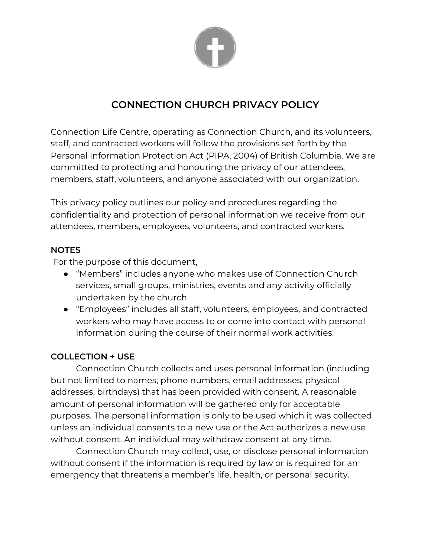

# **CONNECTION CHURCH PRIVACY POLICY**

Connection Life Centre, operating as Connection Church, and its volunteers, staff, and contracted workers will follow the provisions set forth by the Personal Information Protection Act (PIPA, 2004) of British Columbia. We are committed to protecting and honouring the privacy of our attendees, members, staff, volunteers, and anyone associated with our organization.

This privacy policy outlines our policy and procedures regarding the confidentiality and protection of personal information we receive from our attendees, members, employees, volunteers, and contracted workers.

#### **NOTES**

For the purpose of this document,

- "Members" includes anyone who makes use of Connection Church services, small groups, ministries, events and any activity officially undertaken by the church.
- "Employees" includes all staff, volunteers, employees, and contracted workers who may have access to or come into contact with personal information during the course of their normal work activities.

## **COLLECTION + USE**

Connection Church collects and uses personal information (including but not limited to names, phone numbers, email addresses, physical addresses, birthdays) that has been provided with consent. A reasonable amount of personal information will be gathered only for acceptable purposes. The personal information is only to be used which it was collected unless an individual consents to a new use or the Act authorizes a new use without consent. An individual may withdraw consent at any time.

Connection Church may collect, use, or disclose personal information without consent if the information is required by law or is required for an emergency that threatens a member's life, health, or personal security.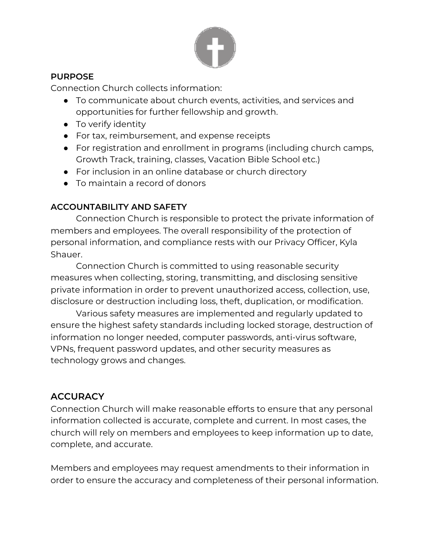

## **PURPOSE**

Connection Church collects information:

- To communicate about church events, activities, and services and opportunities for further fellowship and growth.
- To verify identity
- For tax, reimbursement, and expense receipts
- For registration and enrollment in programs (including church camps, Growth Track, training, classes, Vacation Bible School etc.)
- For inclusion in an online database or church directory
- To maintain a record of donors

# **ACCOUNTABILITY AND SAFETY**

Connection Church is responsible to protect the private information of members and employees. The overall responsibility of the protection of personal information, and compliance rests with our Privacy Officer, Kyla Shauer.

Connection Church is committed to using reasonable security measures when collecting, storing, transmitting, and disclosing sensitive private information in order to prevent unauthorized access, collection, use, disclosure or destruction including loss, theft, duplication, or modification.

Various safety measures are implemented and regularly updated to ensure the highest safety standards including locked storage, destruction of information no longer needed, computer passwords, anti-virus software, VPNs, frequent password updates, and other security measures as technology grows and changes.

# **ACCURACY**

Connection Church will make reasonable efforts to ensure that any personal information collected is accurate, complete and current. In most cases, the church will rely on members and employees to keep information up to date, complete, and accurate.

Members and employees may request amendments to their information in order to ensure the accuracy and completeness of their personal information.